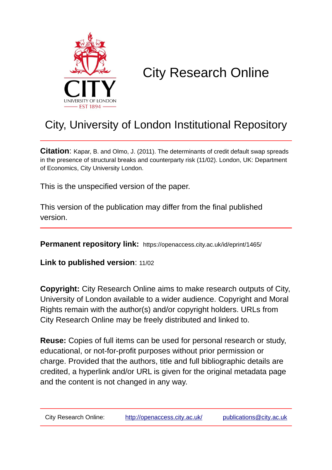

# City Research Online

# City, University of London Institutional Repository

**Citation**: Kapar, B. and Olmo, J. (2011). The determinants of credit default swap spreads in the presence of structural breaks and counterparty risk (11/02). London, UK: Department of Economics, City University London.

This is the unspecified version of the paper.

This version of the publication may differ from the final published version.

**Permanent repository link:** https://openaccess.city.ac.uk/id/eprint/1465/

**Link to published version**: 11/02

**Copyright:** City Research Online aims to make research outputs of City, University of London available to a wider audience. Copyright and Moral Rights remain with the author(s) and/or copyright holders. URLs from City Research Online may be freely distributed and linked to.

**Reuse:** Copies of full items can be used for personal research or study, educational, or not-for-profit purposes without prior permission or charge. Provided that the authors, title and full bibliographic details are credited, a hyperlink and/or URL is given for the original metadata page and the content is not changed in any way.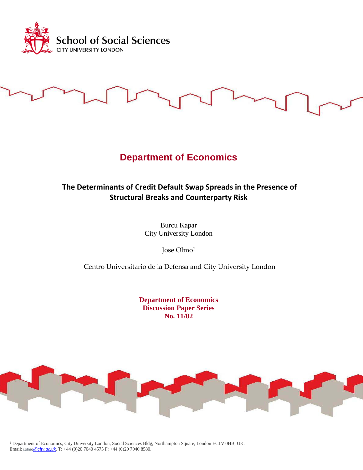

## **Department of Economics**

### **The Determinants of Credit Default Swap Spreads in the Presence of Structural Breaks and Counterparty Risk**

Burcu Kapar City University London

Jose Olmo1

Centro Universitario de la Defensa and City University London

**Department of Economics Discussion Paper Series No. 11/02**



<sup>1</sup> Department of Economics, City University London, Social Sciences Bldg, Northampton Square, London EC1V 0HB, UK. Email:j.olmo*[@city.ac.uk](mailto:i@city.ac.uk)*. T: +44 (0)20 7040 4575 F: +44 (0)20 7040 8580.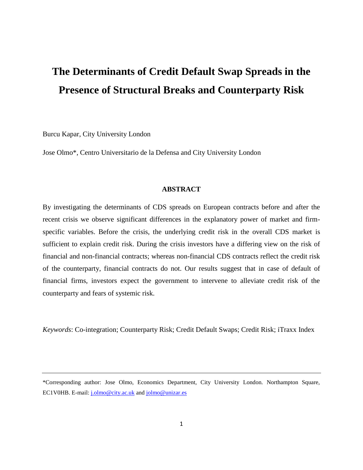# **The Determinants of Credit Default Swap Spreads in the Presence of Structural Breaks and Counterparty Risk**

Burcu Kapar, City University London

Jose Olmo\*, Centro Universitario de la Defensa and City University London

#### **ABSTRACT**

By investigating the determinants of CDS spreads on European contracts before and after the recent crisis we observe significant differences in the explanatory power of market and firmspecific variables. Before the crisis, the underlying credit risk in the overall CDS market is sufficient to explain credit risk. During the crisis investors have a differing view on the risk of financial and non-financial contracts; whereas non-financial CDS contracts reflect the credit risk of the counterparty, financial contracts do not. Our results suggest that in case of default of financial firms, investors expect the government to intervene to alleviate credit risk of the counterparty and fears of systemic risk.

*Keywords*: Co-integration; Counterparty Risk; Credit Default Swaps; Credit Risk; iTraxx Index

<sup>\*</sup>Corresponding author: Jose Olmo, Economics Department, City University London. Northampton Square, EC1V0HB. E-mail: [j.olmo@city.ac.uk](mailto:j.olmo@city.ac.uk) an[d jolmo@unizar.es](mailto:jolmo@unizar.es)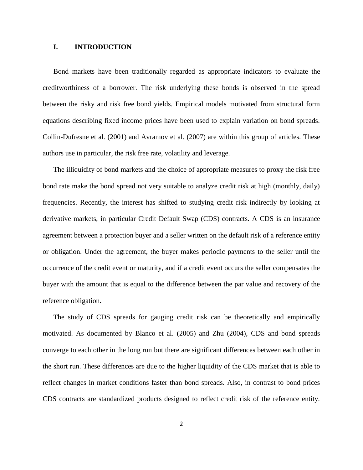#### **I. INTRODUCTION**

Bond markets have been traditionally regarded as appropriate indicators to evaluate the creditworthiness of a borrower. The risk underlying these bonds is observed in the spread between the risky and risk free bond yields. Empirical models motivated from structural form equations describing fixed income prices have been used to explain variation on bond spreads. Collin-Dufresne et al. (2001) and Avramov et al. (2007) are within this group of articles. These authors use in particular, the risk free rate, volatility and leverage.

The illiquidity of bond markets and the choice of appropriate measures to proxy the risk free bond rate make the bond spread not very suitable to analyze credit risk at high (monthly, daily) frequencies. Recently, the interest has shifted to studying credit risk indirectly by looking at derivative markets, in particular Credit Default Swap (CDS) contracts. A CDS is an insurance agreement between a protection buyer and a seller written on the default risk of a reference entity or obligation. Under the agreement, the buyer makes periodic payments to the seller until the occurrence of the credit event or maturity, and if a credit event occurs the seller compensates the buyer with the amount that is equal to the difference between the par value and recovery of the reference obligation**.**

The study of CDS spreads for gauging credit risk can be theoretically and empirically motivated. As documented by Blanco et al. (2005) and Zhu (2004), CDS and bond spreads converge to each other in the long run but there are significant differences between each other in the short run. These differences are due to the higher liquidity of the CDS market that is able to reflect changes in market conditions faster than bond spreads. Also, in contrast to bond prices CDS contracts are standardized products designed to reflect credit risk of the reference entity.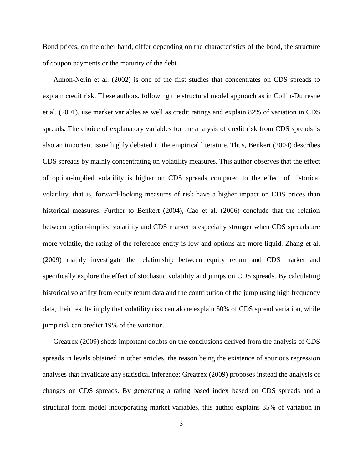Bond prices, on the other hand, differ depending on the characteristics of the bond, the structure of coupon payments or the maturity of the debt.

Aunon-Nerin et al. (2002) is one of the first studies that concentrates on CDS spreads to explain credit risk. These authors, following the structural model approach as in Collin-Dufresne et al. (2001), use market variables as well as credit ratings and explain 82% of variation in CDS spreads. The choice of explanatory variables for the analysis of credit risk from CDS spreads is also an important issue highly debated in the empirical literature. Thus, Benkert (2004) describes CDS spreads by mainly concentrating on volatility measures. This author observes that the effect of option-implied volatility is higher on CDS spreads compared to the effect of historical volatility, that is, forward-looking measures of risk have a higher impact on CDS prices than historical measures. Further to Benkert (2004), Cao et al. (2006) conclude that the relation between option-implied volatility and CDS market is especially stronger when CDS spreads are more volatile, the rating of the reference entity is low and options are more liquid. Zhang et al. (2009) mainly investigate the relationship between equity return and CDS market and specifically explore the effect of stochastic volatility and jumps on CDS spreads. By calculating historical volatility from equity return data and the contribution of the jump using high frequency data, their results imply that volatility risk can alone explain 50% of CDS spread variation, while jump risk can predict 19% of the variation.

Greatrex (2009) sheds important doubts on the conclusions derived from the analysis of CDS spreads in levels obtained in other articles, the reason being the existence of spurious regression analyses that invalidate any statistical inference; Greatrex (2009) proposes instead the analysis of changes on CDS spreads. By generating a rating based index based on CDS spreads and a structural form model incorporating market variables, this author explains 35% of variation in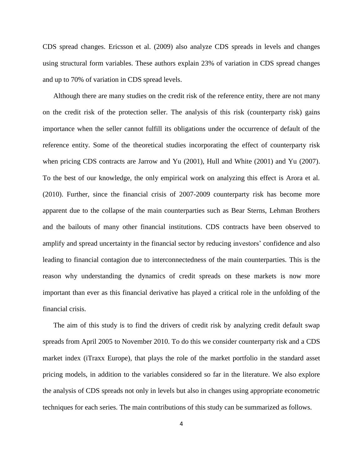CDS spread changes. Ericsson et al. (2009) also analyze CDS spreads in levels and changes using structural form variables. These authors explain 23% of variation in CDS spread changes and up to 70% of variation in CDS spread levels.

Although there are many studies on the credit risk of the reference entity, there are not many on the credit risk of the protection seller. The analysis of this risk (counterparty risk) gains importance when the seller cannot fulfill its obligations under the occurrence of default of the reference entity. Some of the theoretical studies incorporating the effect of counterparty risk when pricing CDS contracts are Jarrow and Yu (2001), Hull and White (2001) and Yu (2007). To the best of our knowledge, the only empirical work on analyzing this effect is Arora et al. (2010). Further, since the financial crisis of 2007-2009 counterparty risk has become more apparent due to the collapse of the main counterparties such as Bear Sterns, Lehman Brothers and the bailouts of many other financial institutions. CDS contracts have been observed to amplify and spread uncertainty in the financial sector by reducing investors' confidence and also leading to financial contagion due to interconnectedness of the main counterparties. This is the reason why understanding the dynamics of credit spreads on these markets is now more important than ever as this financial derivative has played a critical role in the unfolding of the financial crisis.

The aim of this study is to find the drivers of credit risk by analyzing credit default swap spreads from April 2005 to November 2010. To do this we consider counterparty risk and a CDS market index (iTraxx Europe), that plays the role of the market portfolio in the standard asset pricing models, in addition to the variables considered so far in the literature. We also explore the analysis of CDS spreads not only in levels but also in changes using appropriate econometric techniques for each series. The main contributions of this study can be summarized as follows.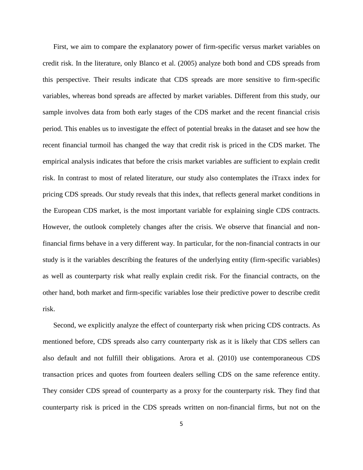First, we aim to compare the explanatory power of firm-specific versus market variables on credit risk. In the literature, only Blanco et al. (2005) analyze both bond and CDS spreads from this perspective. Their results indicate that CDS spreads are more sensitive to firm-specific variables, whereas bond spreads are affected by market variables. Different from this study, our sample involves data from both early stages of the CDS market and the recent financial crisis period. This enables us to investigate the effect of potential breaks in the dataset and see how the recent financial turmoil has changed the way that credit risk is priced in the CDS market. The empirical analysis indicates that before the crisis market variables are sufficient to explain credit risk. In contrast to most of related literature, our study also contemplates the iTraxx index for pricing CDS spreads. Our study reveals that this index, that reflects general market conditions in the European CDS market, is the most important variable for explaining single CDS contracts. However, the outlook completely changes after the crisis. We observe that financial and nonfinancial firms behave in a very different way. In particular, for the non-financial contracts in our study is it the variables describing the features of the underlying entity (firm-specific variables) as well as counterparty risk what really explain credit risk. For the financial contracts, on the other hand, both market and firm-specific variables lose their predictive power to describe credit risk.

Second, we explicitly analyze the effect of counterparty risk when pricing CDS contracts. As mentioned before, CDS spreads also carry counterparty risk as it is likely that CDS sellers can also default and not fulfill their obligations. Arora et al. (2010) use contemporaneous CDS transaction prices and quotes from fourteen dealers selling CDS on the same reference entity. They consider CDS spread of counterparty as a proxy for the counterparty risk. They find that counterparty risk is priced in the CDS spreads written on non-financial firms, but not on the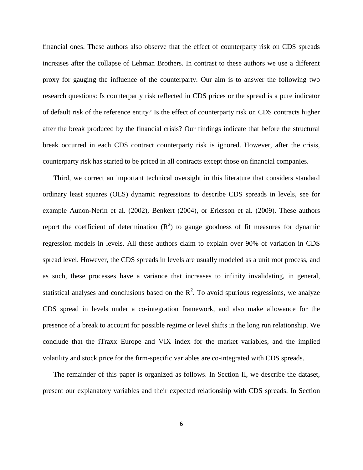financial ones. These authors also observe that the effect of counterparty risk on CDS spreads increases after the collapse of Lehman Brothers. In contrast to these authors we use a different proxy for gauging the influence of the counterparty. Our aim is to answer the following two research questions: Is counterparty risk reflected in CDS prices or the spread is a pure indicator of default risk of the reference entity? Is the effect of counterparty risk on CDS contracts higher after the break produced by the financial crisis? Our findings indicate that before the structural break occurred in each CDS contract counterparty risk is ignored. However, after the crisis, counterparty risk has started to be priced in all contracts except those on financial companies.

Third, we correct an important technical oversight in this literature that considers standard ordinary least squares (OLS) dynamic regressions to describe CDS spreads in levels, see for example Aunon-Nerin et al. (2002), Benkert (2004), or Ericsson et al. (2009). These authors report the coefficient of determination  $(R^2)$  to gauge goodness of fit measures for dynamic regression models in levels. All these authors claim to explain over 90% of variation in CDS spread level. However, the CDS spreads in levels are usually modeled as a unit root process, and as such, these processes have a variance that increases to infinity invalidating, in general, statistical analyses and conclusions based on the  $R^2$ . To avoid spurious regressions, we analyze CDS spread in levels under a co-integration framework, and also make allowance for the presence of a break to account for possible regime or level shifts in the long run relationship. We conclude that the iTraxx Europe and VIX index for the market variables, and the implied volatility and stock price for the firm-specific variables are co-integrated with CDS spreads.

The remainder of this paper is organized as follows. In Section II, we describe the dataset, present our explanatory variables and their expected relationship with CDS spreads. In Section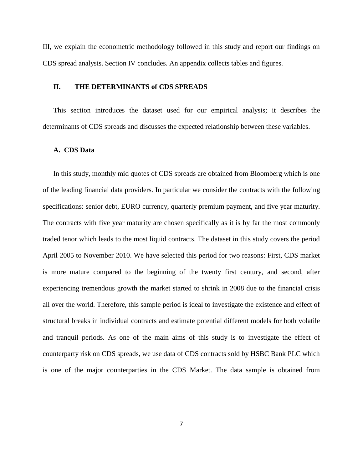III, we explain the econometric methodology followed in this study and report our findings on CDS spread analysis. Section IV concludes. An appendix collects tables and figures.

#### **II. THE DETERMINANTS of CDS SPREADS**

This section introduces the dataset used for our empirical analysis; it describes the determinants of CDS spreads and discusses the expected relationship between these variables.

#### **A. CDS Data**

In this study, monthly mid quotes of CDS spreads are obtained from Bloomberg which is one of the leading financial data providers. In particular we consider the contracts with the following specifications: senior debt, EURO currency, quarterly premium payment, and five year maturity. The contracts with five year maturity are chosen specifically as it is by far the most commonly traded tenor which leads to the most liquid contracts. The dataset in this study covers the period April 2005 to November 2010. We have selected this period for two reasons: First, CDS market is more mature compared to the beginning of the twenty first century, and second, after experiencing tremendous growth the market started to shrink in 2008 due to the financial crisis all over the world. Therefore, this sample period is ideal to investigate the existence and effect of structural breaks in individual contracts and estimate potential different models for both volatile and tranquil periods. As one of the main aims of this study is to investigate the effect of counterparty risk on CDS spreads, we use data of CDS contracts sold by HSBC Bank PLC which is one of the major counterparties in the CDS Market. The data sample is obtained from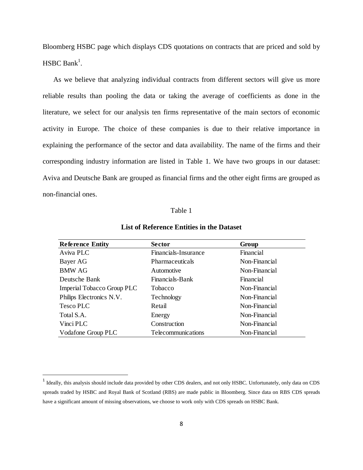Bloomberg HSBC page which displays CDS quotations on contracts that are priced and sold by  $HSBC Bank<sup>1</sup>$ .

As we believe that analyzing individual contracts from different sectors will give us more reliable results than pooling the data or taking the average of coefficients as done in the literature, we select for our analysis ten firms representative of the main sectors of economic activity in Europe. The choice of these companies is due to their relative importance in explaining the performance of the sector and data availability. The name of the firms and their corresponding industry information are listed in Table 1. We have two groups in our dataset: Aviva and Deutsche Bank are grouped as financial firms and the other eight firms are grouped as non-financial ones.

#### Table 1

| <b>Reference Entity</b>    | <b>Sector</b>          | Group         |
|----------------------------|------------------------|---------------|
| Aviva PLC                  | Financials-Insurance   | Financial     |
| Bayer AG                   | <b>Pharmaceuticals</b> | Non-Financial |
| <b>BMW AG</b>              | Automotive             | Non-Financial |
| Deutsche Bank              | Financials-Bank        | Financial     |
| Imperial Tobacco Group PLC | <b>Tobacco</b>         | Non-Financial |
| Philips Electronics N.V.   | Technology             | Non-Financial |
| Tesco PLC                  | Retail                 | Non-Financial |
| Total S.A.                 | Energy                 | Non-Financial |
| Vinci PLC                  | Construction           | Non-Financial |
| Vodafone Group PLC         | Telecommunications     | Non-Financial |

**List of Reference Entities in the Dataset**

 $\overline{\phantom{a}}$ 

<sup>&</sup>lt;sup>1</sup> Ideally, this analysis should include data provided by other CDS dealers, and not only HSBC. Unfortunately, only data on CDS spreads traded by HSBC and Royal Bank of Scotland (RBS) are made public in Bloomberg. Since data on RBS CDS spreads have a significant amount of missing observations, we choose to work only with CDS spreads on HSBC Bank.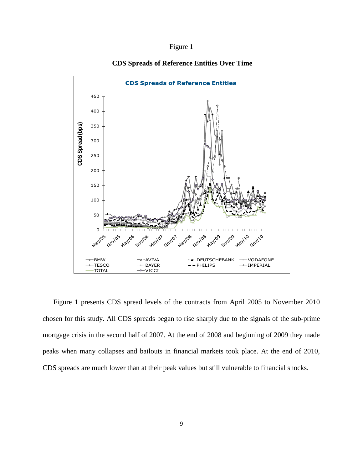### Figure 1



#### **CDS Spreads of Reference Entities Over Time**

Figure 1 presents CDS spread levels of the contracts from April 2005 to November 2010 chosen for this study. All CDS spreads began to rise sharply due to the signals of the sub-prime mortgage crisis in the second half of 2007. At the end of 2008 and beginning of 2009 they made peaks when many collapses and bailouts in financial markets took place. At the end of 2010, CDS spreads are much lower than at their peak values but still vulnerable to financial shocks.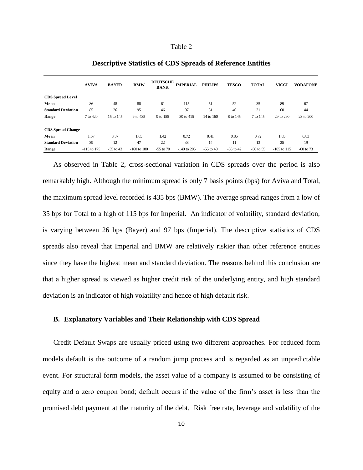|                           | <b>AVIVA</b>  | <b>BAYER</b> | <b>BMW</b>    | <b>DEUTSCHE</b><br><b>BANK</b> | <b>IMPERIAL</b> | <b>PHILIPS</b> | <b>TESCO</b> | <b>TOTAL</b> | <b>VICCI</b>  | <b>VODAFONE</b> |
|---------------------------|---------------|--------------|---------------|--------------------------------|-----------------|----------------|--------------|--------------|---------------|-----------------|
| <b>CDS</b> Spread Level   |               |              |               |                                |                 |                |              |              |               |                 |
| Mean                      | 86            | 48           | 88            | 61                             | 115             | 51             | 52           | 35           | 89            | 67              |
| <b>Standard Deviation</b> | 85            | 26           | 95            | 46                             | 97              | 31             | 40           | 31           | 60            | 44              |
| Range                     | 7 to 420      | 15 to 145    | 9 to 435      | 9 to 155                       | 30 to 415       | 14 to 160      | 8 to 145     | 7 to 145     | 29 to 290     | 23 to 200       |
| <b>CDS</b> Spread Change  |               |              |               |                                |                 |                |              |              |               |                 |
| Mean                      | 1.57          | 0.37         | 1.05          | 1.42                           | 0.72            | 0.41           | 0.86         | 0.72         | 1.05          | 0.83            |
| <b>Standard Deviation</b> | 39            | 12           | 47            | 22                             | 38              | 14             | 11           | 13           | 25            | 19              |
| Range                     | $-115$ to 175 | $-35$ to 43  | $-160$ to 180 | $-55$ to $70$                  | $-140$ to 205   | $-55$ to 40    | $-35$ to 42  | $-50$ to 55  | $-105$ to 115 | $-60$ to 73     |

#### **Descriptive Statistics of CDS Spreads of Reference Entities**

As observed in Table 2, cross-sectional variation in CDS spreads over the period is also remarkably high. Although the minimum spread is only 7 basis points (bps) for Aviva and Total, the maximum spread level recorded is 435 bps (BMW). The average spread ranges from a low of 35 bps for Total to a high of 115 bps for Imperial. An indicator of volatility, standard deviation, is varying between 26 bps (Bayer) and 97 bps (Imperial). The descriptive statistics of CDS spreads also reveal that Imperial and BMW are relatively riskier than other reference entities since they have the highest mean and standard deviation. The reasons behind this conclusion are that a higher spread is viewed as higher credit risk of the underlying entity, and high standard deviation is an indicator of high volatility and hence of high default risk.

#### **B. Explanatory Variables and Their Relationship with CDS Spread**

Credit Default Swaps are usually priced using two different approaches. For reduced form models default is the outcome of a random jump process and is regarded as an unpredictable event. For structural form models, the asset value of a company is assumed to be consisting of equity and a zero coupon bond; default occurs if the value of the firm's asset is less than the promised debt payment at the maturity of the debt. Risk free rate, leverage and volatility of the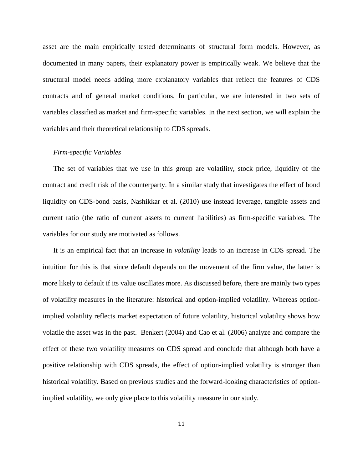asset are the main empirically tested determinants of structural form models. However, as documented in many papers, their explanatory power is empirically weak. We believe that the structural model needs adding more explanatory variables that reflect the features of CDS contracts and of general market conditions. In particular, we are interested in two sets of variables classified as market and firm-specific variables. In the next section, we will explain the variables and their theoretical relationship to CDS spreads.

#### *Firm-specific Variables*

The set of variables that we use in this group are volatility, stock price, liquidity of the contract and credit risk of the counterparty. In a similar study that investigates the effect of bond liquidity on CDS-bond basis, Nashikkar et al. (2010) use instead leverage, tangible assets and current ratio (the ratio of current assets to current liabilities) as firm-specific variables. The variables for our study are motivated as follows.

It is an empirical fact that an increase in *volatility* leads to an increase in CDS spread. The intuition for this is that since default depends on the movement of the firm value, the latter is more likely to default if its value oscillates more. As discussed before, there are mainly two types of volatility measures in the literature: historical and option-implied volatility. Whereas optionimplied volatility reflects market expectation of future volatility, historical volatility shows how volatile the asset was in the past. Benkert (2004) and Cao et al. (2006) analyze and compare the effect of these two volatility measures on CDS spread and conclude that although both have a positive relationship with CDS spreads, the effect of option-implied volatility is stronger than historical volatility. Based on previous studies and the forward-looking characteristics of optionimplied volatility, we only give place to this volatility measure in our study.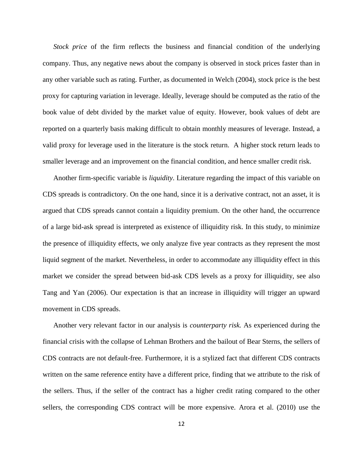*Stock price* of the firm reflects the business and financial condition of the underlying company. Thus, any negative news about the company is observed in stock prices faster than in any other variable such as rating. Further, as documented in Welch (2004), stock price is the best proxy for capturing variation in leverage. Ideally, leverage should be computed as the ratio of the book value of debt divided by the market value of equity. However, book values of debt are reported on a quarterly basis making difficult to obtain monthly measures of leverage. Instead, a valid proxy for leverage used in the literature is the stock return. A higher stock return leads to smaller leverage and an improvement on the financial condition, and hence smaller credit risk.

Another firm-specific variable is *liquidity*. Literature regarding the impact of this variable on CDS spreads is contradictory. On the one hand, since it is a derivative contract, not an asset, it is argued that CDS spreads cannot contain a liquidity premium. On the other hand, the occurrence of a large bid-ask spread is interpreted as existence of illiquidity risk. In this study, to minimize the presence of illiquidity effects, we only analyze five year contracts as they represent the most liquid segment of the market. Nevertheless, in order to accommodate any illiquidity effect in this market we consider the spread between bid-ask CDS levels as a proxy for illiquidity, see also Tang and Yan (2006). Our expectation is that an increase in illiquidity will trigger an upward movement in CDS spreads.

Another very relevant factor in our analysis is *counterparty risk.* As experienced during the financial crisis with the collapse of Lehman Brothers and the bailout of Bear Sterns, the sellers of CDS contracts are not default-free. Furthermore, it is a stylized fact that different CDS contracts written on the same reference entity have a different price, finding that we attribute to the risk of the sellers. Thus, if the seller of the contract has a higher credit rating compared to the other sellers, the corresponding CDS contract will be more expensive. Arora et al. (2010) use the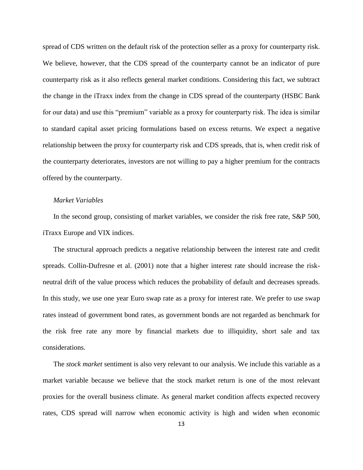spread of CDS written on the default risk of the protection seller as a proxy for counterparty risk. We believe, however, that the CDS spread of the counterparty cannot be an indicator of pure counterparty risk as it also reflects general market conditions. Considering this fact, we subtract the change in the iTraxx index from the change in CDS spread of the counterparty (HSBC Bank for our data) and use this "premium" variable as a proxy for counterparty risk. The idea is similar to standard capital asset pricing formulations based on excess returns. We expect a negative relationship between the proxy for counterparty risk and CDS spreads, that is, when credit risk of the counterparty deteriorates, investors are not willing to pay a higher premium for the contracts offered by the counterparty.

#### *Market Variables*

In the second group, consisting of market variables, we consider the risk free rate, S&P 500, iTraxx Europe and VIX indices.

The structural approach predicts a negative relationship between the interest rate and credit spreads. Collin-Dufresne et al. (2001) note that a higher interest rate should increase the riskneutral drift of the value process which reduces the probability of default and decreases spreads. In this study, we use one year Euro swap rate as a proxy for interest rate. We prefer to use swap rates instead of government bond rates, as government bonds are not regarded as benchmark for the risk free rate any more by financial markets due to illiquidity, short sale and tax considerations.

The *stock market* sentiment is also very relevant to our analysis. We include this variable as a market variable because we believe that the stock market return is one of the most relevant proxies for the overall business climate. As general market condition affects expected recovery rates, CDS spread will narrow when economic activity is high and widen when economic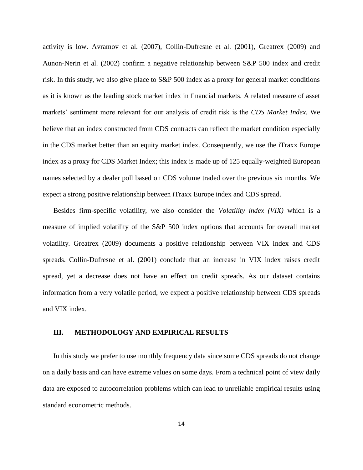activity is low. Avramov et al. (2007), Collin-Dufresne et al. (2001), Greatrex (2009) and Aunon-Nerin et al. (2002) confirm a negative relationship between S&P 500 index and credit risk. In this study, we also give place to S&P 500 index as a proxy for general market conditions as it is known as the leading stock market index in financial markets. A related measure of asset markets' sentiment more relevant for our analysis of credit risk is the *CDS Market Index*. We believe that an index constructed from CDS contracts can reflect the market condition especially in the CDS market better than an equity market index. Consequently, we use the iTraxx Europe index as a proxy for CDS Market Index; this index is made up of 125 equally-weighted European names selected by a dealer poll based on CDS volume traded over the previous six months. We expect a strong positive relationship between iTraxx Europe index and CDS spread.

Besides firm-specific volatility, we also consider the *Volatility index (VIX)* which is a measure of implied volatility of the S&P 500 index options that accounts for overall market volatility. Greatrex (2009) documents a positive relationship between VIX index and CDS spreads. Collin-Dufresne et al. (2001) conclude that an increase in VIX index raises credit spread, yet a decrease does not have an effect on credit spreads. As our dataset contains information from a very volatile period, we expect a positive relationship between CDS spreads and VIX index.

#### **III. METHODOLOGY AND EMPIRICAL RESULTS**

In this study we prefer to use monthly frequency data since some CDS spreads do not change on a daily basis and can have extreme values on some days. From a technical point of view daily data are exposed to autocorrelation problems which can lead to unreliable empirical results using standard econometric methods.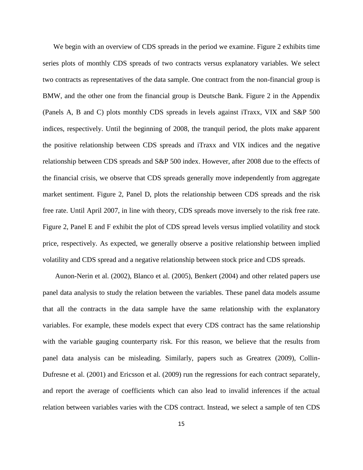We begin with an overview of CDS spreads in the period we examine. Figure 2 exhibits time series plots of monthly CDS spreads of two contracts versus explanatory variables. We select two contracts as representatives of the data sample. One contract from the non-financial group is BMW, and the other one from the financial group is Deutsche Bank. Figure 2 in the Appendix (Panels A, B and C) plots monthly CDS spreads in levels against iTraxx, VIX and S&P 500 indices, respectively. Until the beginning of 2008, the tranquil period, the plots make apparent the positive relationship between CDS spreads and iTraxx and VIX indices and the negative relationship between CDS spreads and S&P 500 index. However, after 2008 due to the effects of the financial crisis, we observe that CDS spreads generally move independently from aggregate market sentiment. Figure 2, Panel D, plots the relationship between CDS spreads and the risk free rate. Until April 2007, in line with theory, CDS spreads move inversely to the risk free rate. Figure 2, Panel E and F exhibit the plot of CDS spread levels versus implied volatility and stock price, respectively. As expected, we generally observe a positive relationship between implied volatility and CDS spread and a negative relationship between stock price and CDS spreads.

Aunon-Nerin et al. (2002), Blanco et al. (2005), Benkert (2004) and other related papers use panel data analysis to study the relation between the variables. These panel data models assume that all the contracts in the data sample have the same relationship with the explanatory variables. For example, these models expect that every CDS contract has the same relationship with the variable gauging counterparty risk. For this reason, we believe that the results from panel data analysis can be misleading. Similarly, papers such as Greatrex (2009), Collin-Dufresne et al. (2001) and Ericsson et al. (2009) run the regressions for each contract separately, and report the average of coefficients which can also lead to invalid inferences if the actual relation between variables varies with the CDS contract. Instead, we select a sample of ten CDS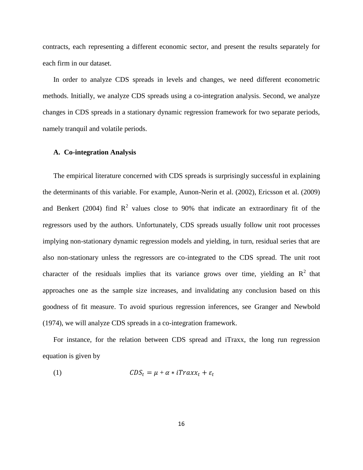contracts, each representing a different economic sector, and present the results separately for each firm in our dataset.

In order to analyze CDS spreads in levels and changes, we need different econometric methods. Initially, we analyze CDS spreads using a co-integration analysis. Second, we analyze changes in CDS spreads in a stationary dynamic regression framework for two separate periods, namely tranquil and volatile periods.

#### **A. Co-integration Analysis**

The empirical literature concerned with CDS spreads is surprisingly successful in explaining the determinants of this variable. For example, Aunon-Nerin et al. (2002), Ericsson et al. (2009) and Benkert (2004) find  $R^2$  values close to 90% that indicate an extraordinary fit of the regressors used by the authors. Unfortunately, CDS spreads usually follow unit root processes implying non-stationary dynamic regression models and yielding, in turn, residual series that are also non-stationary unless the regressors are co-integrated to the CDS spread. The unit root character of the residuals implies that its variance grows over time, yielding an  $\mathbb{R}^2$  that approaches one as the sample size increases, and invalidating any conclusion based on this goodness of fit measure. To avoid spurious regression inferences, see Granger and Newbold (1974), we will analyze CDS spreads in a co-integration framework.

For instance, for the relation between CDS spread and iTraxx, the long run regression equation is given by

$$
CDS_t = \mu + \alpha * iTraxx_t + \varepsilon_t
$$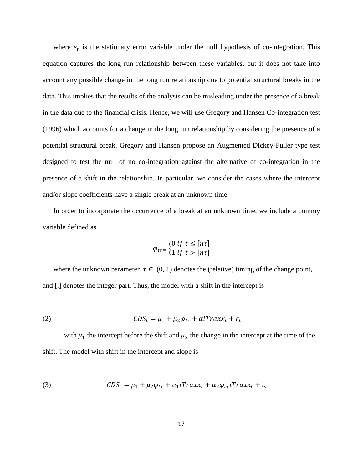where  $\varepsilon_t$  is the stationary error variable under the null hypothesis of co-integration. This equation captures the long run relationship between these variables, but it does not take into account any possible change in the long run relationship due to potential structural breaks in the data. This implies that the results of the analysis can be misleading under the presence of a break in the data due to the financial crisis. Hence, we will use Gregory and Hansen Co-integration test (1996) which accounts for a change in the long run relationship by considering the presence of a potential structural break. Gregory and Hansen propose an Augmented Dickey-Fuller type test designed to test the null of no co-integration against the alternative of co-integration in the presence of a shift in the relationship. In particular, we consider the cases where the intercept and/or slope coefficients have a single break at an unknown time.

In order to incorporate the occurrence of a break at an unknown time, we include a dummy variable defined as

$$
\varphi_{t\tau} = \begin{cases} 0 \text{ if } t \leq [n\tau] \\ 1 \text{ if } t > [n\tau] \end{cases}
$$

where the unknown parameter  $\tau \in (0, 1)$  denotes the (relative) timing of the change point, and [.] denotes the integer part. Thus, the model with a shift in the intercept is

(2) 
$$
CDS_t = \mu_1 + \mu_2 \varphi_{t\tau} + \alpha i Trax x_t + \varepsilon_t
$$

with  $\mu_1$  the intercept before the shift and  $\mu_2$  the change in the intercept at the time of the shift. The model with shift in the intercept and slope is

(3) 
$$
CDS_t = \mu_1 + \mu_2 \varphi_{t\tau} + \alpha_1 iTrax x_t + \alpha_2 \varphi_{t\tau} iTrax x_t + \varepsilon_t
$$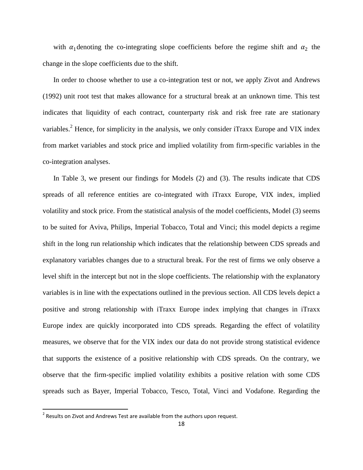with  $\alpha_1$  denoting the co-integrating slope coefficients before the regime shift and  $\alpha_2$  the change in the slope coefficients due to the shift.

In order to choose whether to use a co-integration test or not, we apply Zivot and Andrews (1992) unit root test that makes allowance for a structural break at an unknown time. This test indicates that liquidity of each contract, counterparty risk and risk free rate are stationary variables.<sup>2</sup> Hence, for simplicity in the analysis, we only consider iTraxx Europe and VIX index from market variables and stock price and implied volatility from firm-specific variables in the co-integration analyses.

In Table 3, we present our findings for Models (2) and (3). The results indicate that CDS spreads of all reference entities are co-integrated with iTraxx Europe, VIX index, implied volatility and stock price. From the statistical analysis of the model coefficients, Model (3) seems to be suited for Aviva, Philips, Imperial Tobacco, Total and Vinci; this model depicts a regime shift in the long run relationship which indicates that the relationship between CDS spreads and explanatory variables changes due to a structural break. For the rest of firms we only observe a level shift in the intercept but not in the slope coefficients. The relationship with the explanatory variables is in line with the expectations outlined in the previous section. All CDS levels depict a positive and strong relationship with iTraxx Europe index implying that changes in iTraxx Europe index are quickly incorporated into CDS spreads. Regarding the effect of volatility measures, we observe that for the VIX index our data do not provide strong statistical evidence that supports the existence of a positive relationship with CDS spreads. On the contrary, we observe that the firm-specific implied volatility exhibits a positive relation with some CDS spreads such as Bayer, Imperial Tobacco, Tesco, Total, Vinci and Vodafone. Regarding the

<sup>&</sup>lt;u>2</u><br><sup>2</sup> Results on Zivot and Andrews Test are available from the authors upon request.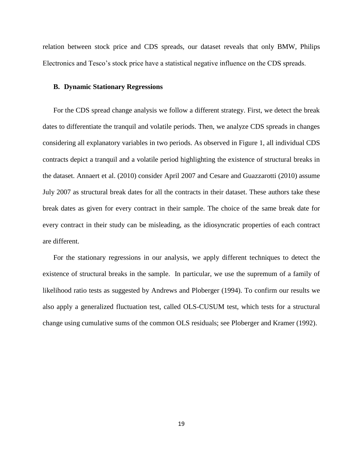relation between stock price and CDS spreads, our dataset reveals that only BMW, Philips Electronics and Tesco's stock price have a statistical negative influence on the CDS spreads.

#### **B. Dynamic Stationary Regressions**

For the CDS spread change analysis we follow a different strategy. First, we detect the break dates to differentiate the tranquil and volatile periods. Then, we analyze CDS spreads in changes considering all explanatory variables in two periods. As observed in Figure 1, all individual CDS contracts depict a tranquil and a volatile period highlighting the existence of structural breaks in the dataset. Annaert et al. (2010) consider April 2007 and Cesare and Guazzarotti (2010) assume July 2007 as structural break dates for all the contracts in their dataset. These authors take these break dates as given for every contract in their sample. The choice of the same break date for every contract in their study can be misleading, as the idiosyncratic properties of each contract are different.

For the stationary regressions in our analysis, we apply different techniques to detect the existence of structural breaks in the sample. In particular, we use the supremum of a family of likelihood ratio tests as suggested by Andrews and Ploberger (1994). To confirm our results we also apply a generalized fluctuation test, called OLS-CUSUM test, which tests for a structural change using cumulative sums of the common OLS residuals; see Ploberger and Kramer (1992).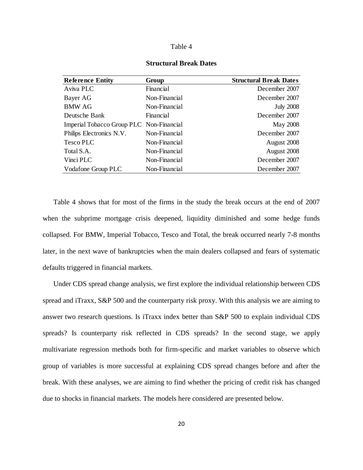| <b>Reference Entity</b>                  | Group         | <b>Structural Break Dates</b> |
|------------------------------------------|---------------|-------------------------------|
| Aviva PLC                                | Financial     | December 2007                 |
| Bayer AG                                 | Non-Financial | December 2007                 |
| <b>BMW AG</b>                            | Non-Financial | <b>July 2008</b>              |
| Deutsche Bank                            | Financial     | December 2007                 |
| Imperial Tobacco Group PLC Non-Financial |               | May 2008                      |
| Philips Electronics N.V.                 | Non-Financial | December 2007                 |
| Tesco PLC                                | Non-Financial | August 2008                   |
| Total S.A.                               | Non-Financial | August 2008                   |
| Vinci PLC                                | Non-Financial | December 2007                 |
| Vodafone Group PLC                       | Non-Financial | December 2007                 |

#### **Structural Break Dates**

Table 4 shows that for most of the firms in the study the break occurs at the end of 2007 when the subprime mortgage crisis deepened, liquidity diminished and some hedge funds collapsed. For BMW, Imperial Tobacco, Tesco and Total, the break occurred nearly 7-8 months later, in the next wave of bankruptcies when the main dealers collapsed and fears of systematic defaults triggered in financial markets.

Under CDS spread change analysis, we first explore the individual relationship between CDS spread and iTraxx, S&P 500 and the counterparty risk proxy. With this analysis we are aiming to answer two research questions. Is iTraxx index better than S&P 500 to explain individual CDS spreads? Is counterparty risk reflected in CDS spreads? In the second stage, we apply multivariate regression methods both for firm-specific and market variables to observe which group of variables is more successful at explaining CDS spread changes before and after the break. With these analyses, we are aiming to find whether the pricing of credit risk has changed due to shocks in financial markets. The models here considered are presented below.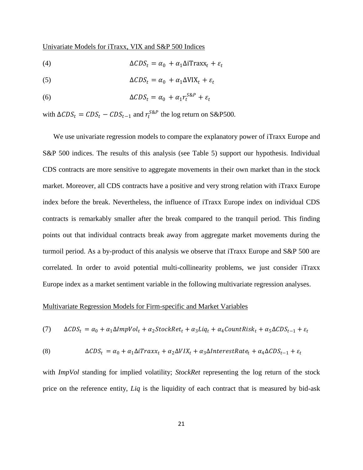#### Univariate Models for iTraxx, VIX and S&P 500 Indices

(4) 
$$
\Delta CDS_t = \alpha_0 + \alpha_1 \Delta i \text{Trax} x_t + \varepsilon_t
$$

(5) 
$$
\Delta CDS_t = \alpha_0 + \alpha_1 \Delta VIX_t + \varepsilon_t
$$

(6) 
$$
\Delta CDS_t = \alpha_0 + \alpha_1 r_t^{SRP} + \varepsilon_t
$$

with  $\Delta CDS_t = CDS_t - CDS_{t-1}$  and  $r_t^{S\&P}$  the log return on S&P500.

We use univariate regression models to compare the explanatory power of iTraxx Europe and S&P 500 indices. The results of this analysis (see Table 5) support our hypothesis. Individual CDS contracts are more sensitive to aggregate movements in their own market than in the stock market. Moreover, all CDS contracts have a positive and very strong relation with iTraxx Europe index before the break. Nevertheless, the influence of iTraxx Europe index on individual CDS contracts is remarkably smaller after the break compared to the tranquil period. This finding points out that individual contracts break away from aggregate market movements during the turmoil period. As a by-product of this analysis we observe that iTraxx Europe and S&P 500 are correlated. In order to avoid potential multi-collinearity problems, we just consider iTraxx Europe index as a market sentiment variable in the following multivariate regression analyses.

#### Multivariate Regression Models for Firm-specific and Market Variables

(7) 
$$
\Delta CDS_t = \alpha_0 + \alpha_1 \Delta ImpVol_t + \alpha_2 StockRet_t + \alpha_3 Liq_t + \alpha_4 CountRisk_t + \alpha_5 \Delta CDS_{t-1} + \varepsilon_t
$$

(8) 
$$
\Delta CDS_t = \alpha_0 + \alpha_1 \Delta iTraxx_t + \alpha_2 \Delta VIX_t + \alpha_3 \Delta InterestRate_t + \alpha_4 \Delta CDS_{t-1} + \varepsilon_t
$$

with *ImpVol* standing for implied volatility; *StockRet* representing the log return of the stock price on the reference entity, *Liq* is the liquidity of each contract that is measured by bid-ask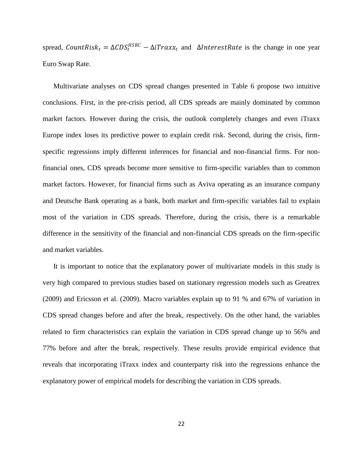spread,  $CountRisk_t = \Delta CDS_t^{HSBC} - \Delta iTraxx_t$  and  $\Delta IntersetRate$  is the change in one year Euro Swap Rate.

Multivariate analyses on CDS spread changes presented in Table 6 propose two intuitive conclusions. First, in the pre-crisis period, all CDS spreads are mainly dominated by common market factors. However during the crisis, the outlook completely changes and even iTraxx Europe index loses its predictive power to explain credit risk. Second, during the crisis, firmspecific regressions imply different inferences for financial and non-financial firms. For nonfinancial ones, CDS spreads become more sensitive to firm-specific variables than to common market factors. However, for financial firms such as Aviva operating as an insurance company and Deutsche Bank operating as a bank, both market and firm-specific variables fail to explain most of the variation in CDS spreads. Therefore, during the crisis, there is a remarkable difference in the sensitivity of the financial and non-financial CDS spreads on the firm-specific and market variables.

It is important to notice that the explanatory power of multivariate models in this study is very high compared to previous studies based on stationary regression models such as Greatrex (2009) and Ericsson et al. (2009). Macro variables explain up to 91 % and 67% of variation in CDS spread changes before and after the break, respectively. On the other hand, the variables related to firm characteristics can explain the variation in CDS spread change up to 56% and 77% before and after the break, respectively. These results provide empirical evidence that reveals that incorporating iTraxx index and counterparty risk into the regressions enhance the explanatory power of empirical models for describing the variation in CDS spreads.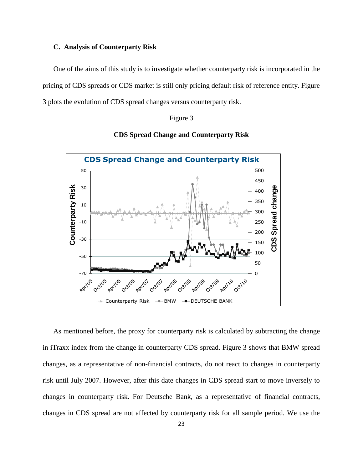#### **C. Analysis of Counterparty Risk**

One of the aims of this study is to investigate whether counterparty risk is incorporated in the pricing of CDS spreads or CDS market is still only pricing default risk of reference entity. Figure 3 plots the evolution of CDS spread changes versus counterparty risk.

#### Figure 3





As mentioned before, the proxy for counterparty risk is calculated by subtracting the change in iTraxx index from the change in counterparty CDS spread. Figure 3 shows that BMW spread changes, as a representative of non-financial contracts, do not react to changes in counterparty risk until July 2007. However, after this date changes in CDS spread start to move inversely to changes in counterparty risk. For Deutsche Bank, as a representative of financial contracts, changes in CDS spread are not affected by counterparty risk for all sample period. We use the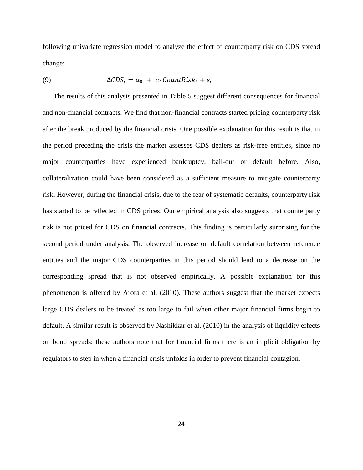following univariate regression model to analyze the effect of counterparty risk on CDS spread change:

(9) 
$$
\Delta CDS_t = \alpha_0 + \alpha_1 CountRisk_t + \varepsilon_t
$$

The results of this analysis presented in Table 5 suggest different consequences for financial and non-financial contracts. We find that non-financial contracts started pricing counterparty risk after the break produced by the financial crisis. One possible explanation for this result is that in the period preceding the crisis the market assesses CDS dealers as risk-free entities, since no major counterparties have experienced bankruptcy, bail-out or default before. Also, collateralization could have been considered as a sufficient measure to mitigate counterparty risk. However, during the financial crisis, due to the fear of systematic defaults, counterparty risk has started to be reflected in CDS prices. Our empirical analysis also suggests that counterparty risk is not priced for CDS on financial contracts. This finding is particularly surprising for the second period under analysis. The observed increase on default correlation between reference entities and the major CDS counterparties in this period should lead to a decrease on the corresponding spread that is not observed empirically. A possible explanation for this phenomenon is offered by Arora et al. (2010). These authors suggest that the market expects large CDS dealers to be treated as too large to fail when other major financial firms begin to default. A similar result is observed by Nashikkar et al. (2010) in the analysis of liquidity effects on bond spreads; these authors note that for financial firms there is an implicit obligation by regulators to step in when a financial crisis unfolds in order to prevent financial contagion.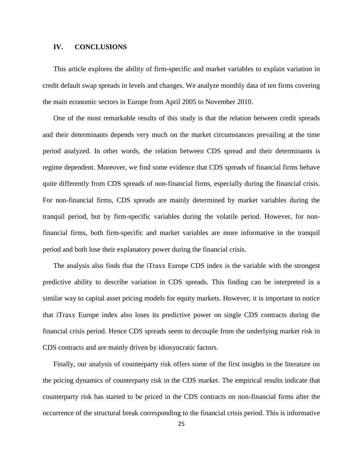#### **IV. CONCLUSIONS**

This article explores the ability of firm-specific and market variables to explain variation in credit default swap spreads in levels and changes. We analyze monthly data of ten firms covering the main economic sectors in Europe from April 2005 to November 2010.

One of the most remarkable results of this study is that the relation between credit spreads and their determinants depends very much on the market circumstances prevailing at the time period analyzed. In other words, the relation between CDS spread and their determinants is regime dependent. Moreover, we find some evidence that CDS spreads of financial firms behave quite differently from CDS spreads of non-financial firms, especially during the financial crisis. For non-financial firms, CDS spreads are mainly determined by market variables during the tranquil period, but by firm-specific variables during the volatile period. However, for nonfinancial firms, both firm-specific and market variables are more informative in the tranquil period and both lose their explanatory power during the financial crisis.

The analysis also finds that the iTraxx Europe CDS index is the variable with the strongest predictive ability to describe variation in CDS spreads. This finding can be interpreted in a similar way to capital asset pricing models for equity markets. However, it is important to notice that iTraxx Europe index also loses its predictive power on single CDS contracts during the financial crisis period. Hence CDS spreads seem to decouple from the underlying market risk in CDS contracts and are mainly driven by idiosyncratic factors.

Finally, our analysis of counterparty risk offers some of the first insights in the literature on the pricing dynamics of counterparty risk in the CDS market. The empirical results indicate that counterparty risk has started to be priced in the CDS contracts on non-financial firms after the occurrence of the structural break corresponding to the financial crisis period. This is informative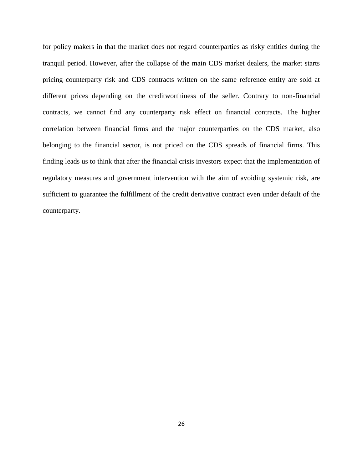for policy makers in that the market does not regard counterparties as risky entities during the tranquil period. However, after the collapse of the main CDS market dealers, the market starts pricing counterparty risk and CDS contracts written on the same reference entity are sold at different prices depending on the creditworthiness of the seller. Contrary to non-financial contracts, we cannot find any counterparty risk effect on financial contracts. The higher correlation between financial firms and the major counterparties on the CDS market, also belonging to the financial sector, is not priced on the CDS spreads of financial firms. This finding leads us to think that after the financial crisis investors expect that the implementation of regulatory measures and government intervention with the aim of avoiding systemic risk, are sufficient to guarantee the fulfillment of the credit derivative contract even under default of the counterparty.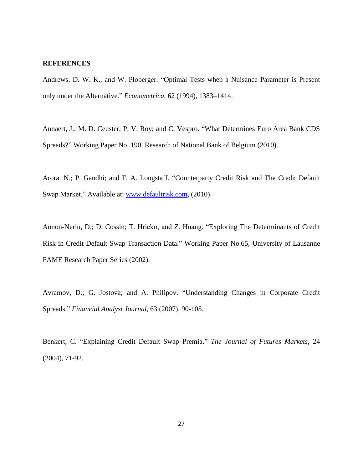#### **REFERENCES**

Andrews, D. W. K., and W. Ploberger. "Optimal Tests when a Nuisance Parameter is Present only under the Alternative." *Econometrica*, 62 (1994), 1383–1414.

Annaert, J.; M. D. Ceuster; P. V. Roy; and C. Vespro. "What Determines Euro Area Bank CDS Spreads?" Working Paper No. 190, Research of National Bank of Belgium (2010).

Arora, N.; P. Gandhi; and F. A. Longstaff. "Counterparty Credit Risk and The Credit Default Swap Market." Available at: [www.defaultrisk.com,](http://www.defaultrisk.com/) (2010).

Aunon-Nerin, D.; D. Cossin; T. Hricko; and Z. Huang. "Exploring The Determinants of Credit Risk in Credit Default Swap Transaction Data." Working Paper No.65, University of Lausanne FAME Research Paper Series (2002).

Avramov, D.; G. Jostova; and A. Philipov. "Understanding Changes in Corporate Credit Spreads." *Financial Analyst Journal*, 63 (2007), 90-105.

Benkert, C. "Explaining Credit Default Swap Premia." *The Journal of Futures Markets*, 24 (2004), 71-92.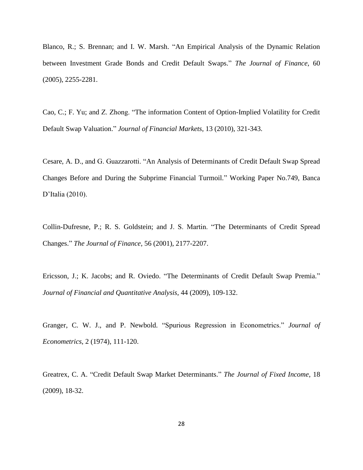Blanco, R.; S. Brennan; and I. W. Marsh. "An Empirical Analysis of the Dynamic Relation between Investment Grade Bonds and Credit Default Swaps." *The Journal of Finance*, 60 (2005), 2255-2281.

Cao, C.; F. Yu; and Z. Zhong. "The information Content of Option-Implied Volatility for Credit Default Swap Valuation." *Journal of Financial Markets*, 13 (2010), 321-343.

Cesare, A. D., and G. Guazzarotti. "An Analysis of Determinants of Credit Default Swap Spread Changes Before and During the Subprime Financial Turmoil." Working Paper No.749, Banca D'Italia (2010).

Collin-Dufresne, P.; R. S. Goldstein; and J. S. Martin. "The Determinants of Credit Spread Changes." *The Journal of Finance*, 56 (2001), 2177-2207.

Ericsson, J.; K. Jacobs; and R. Oviedo. "The Determinants of Credit Default Swap Premia." *Journal of Financial and Quantitative Analysis*, 44 (2009), 109-132.

Granger, C. W. J., and P. Newbold. "Spurious Regression in Econometrics." *Journal of Econometrics*, 2 (1974), 111-120.

Greatrex, C. A. "Credit Default Swap Market Determinants." *The Journal of Fixed Income*, 18 (2009), 18-32.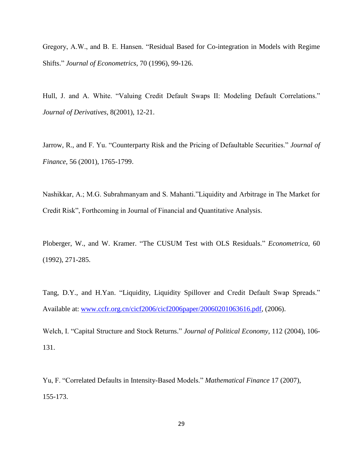Gregory, A.W., and B. E. Hansen. "Residual Based for Co-integration in Models with Regime Shifts." *Journal of Econometrics*, 70 (1996), 99-126.

Hull, J. and A. White. "Valuing Credit Default Swaps II: Modeling Default Correlations." *Journal of Derivatives*, 8(2001), 12-21.

Jarrow, R., and F. Yu. "Counterparty Risk and the Pricing of Defaultable Securities." *Journal of Finance,* 56 (2001), 1765-1799.

Nashikkar, A.; M.G. Subrahmanyam and S. Mahanti."Liquidity and Arbitrage in The Market for Credit Risk", Forthcoming in Journal of Financial and Quantitative Analysis.

Ploberger, W., and W. Kramer. "The CUSUM Test with OLS Residuals." *Econometrica*, 60 (1992), 271-285.

Tang, D.Y., and H.Yan. "Liquidity, Liquidity Spillover and Credit Default Swap Spreads." Available at: [www.ccfr.org.cn/cicf2006/cicf2006paper/20060201063616.pdf,](http://www.ccfr.org.cn/cicf2006/cicf2006paper/20060201063616.pdf) (2006).

Welch, I. "Capital Structure and Stock Returns." *Journal of Political Economy,* 112 (2004), 106- 131.

Yu, F. "Correlated Defaults in Intensity-Based Models." *Mathematical Finance* 17 (2007), 155-173.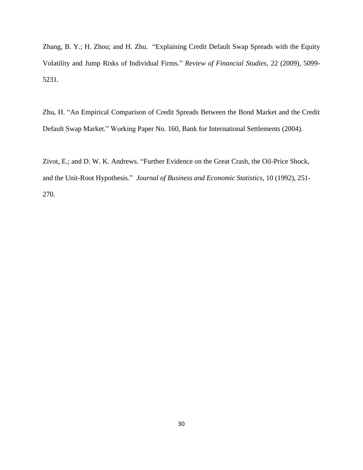Zhang, B. Y.; H. Zhou; and H. Zhu. "Explaining Credit Default Swap Spreads with the Equity Volatility and Jump Risks of Individual Firms." *Review of Financial Studies,* 22 (2009), 5099- 5231.

Zhu, H. "An Empirical Comparison of Credit Spreads Between the Bond Market and the Credit Default Swap Market." Working Paper No. 160, Bank for International Settlements (2004).

Zivot, E.; and D. W. K. Andrews. "Further Evidence on the Great Crash, the Oil-Price Shock, and the Unit-Root Hypothesis." *Journal of Business and Economic Statistics*, 10 (1992), 251- 270.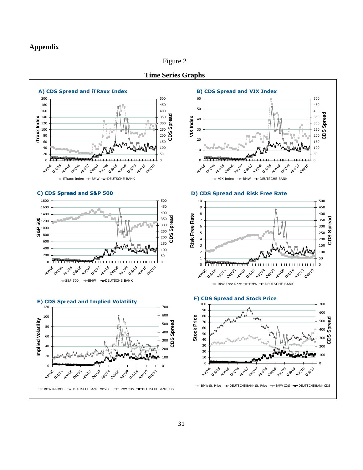#### **Appendix**

Figure 2



**Time Series Graphs**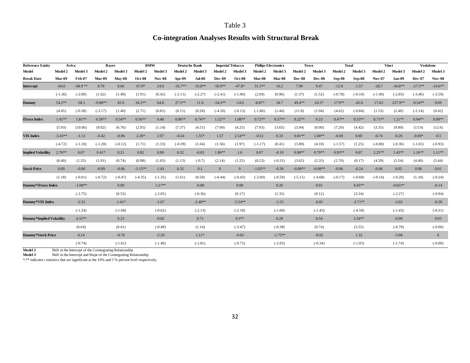### **Co-integration Analyses Results with Structural Break**

| <b>Reference Entity</b>   | Aviva     |           | <b>Bayer</b>   |           | <b>BMW</b>     |               | <b>Deutsche Bank</b> |               | <b>Imperial Tobacco</b> |              |           | <b>Philips Electronics</b> | <b>Tesco</b> |           |           | <b>Total</b> |           | Vinci     | <b>Vodafone</b> |                |
|---------------------------|-----------|-----------|----------------|-----------|----------------|---------------|----------------------|---------------|-------------------------|--------------|-----------|----------------------------|--------------|-----------|-----------|--------------|-----------|-----------|-----------------|----------------|
| Model                     | Model 2   | Model 3   | <b>Model 2</b> | Model 3   | <b>Model 2</b> | Model 3       | Model 2              | Model 3       | Model 2                 | Model 3      | Model 2   | Model 3                    | Model 2      | Model 3   | Model 2   | Model 3      | Model 2   | Model 3   | Model 2         | Model 3        |
| <b>Break Date</b>         | Mar-09    | Feb-07    | Mar-09         | $Mav-08$  | $Oct-08$       | <b>Nov-08</b> | Apr-09               | <b>Jul-08</b> | Dec-09                  | Oct-08       | Mar-08    | Mar-08                     | Dec-08       | Dec-08    | Sep-08    | Sep-08       | $Nov-07$  | Jan-09    | <b>Dec-07</b>   | <b>Nov-08</b>  |
| <b>Intercept</b>          | $-66.6$   | $-68.9**$ | 8.70           | 8.66      | 67.9*          | 24.9          | $-35.7**$            | $-35.8**$     | $-56.9**$               | $-47.8*$     | $31.5**$  | 16.2                       | 7.90         | 9.47      | $-12.9$   | $-1.57$      | $-28.7$   | $-34.8**$ | $-27.5**$       | $-24.6**$      |
|                           | $(-1.36)$ | $(-2.00)$ | (1.62)         | (1.49)    | (1.91)         | (0.42)        | $(-2.11)$            | $(-2.27)$     | $(-2.41)$               | $(-1.90)$    | (2.69)    | (0.96)                     | (1.37)       | (1.52)    | $(-0.78)$ | $(-0.10)$    | $(-1.49)$ | $(-2.83)$ | $(-3.40)$       | $(-2.59)$      |
| <b>Dummy</b>              | 54.2**    | $-38.1$   | $-9.00**$      | 45.9      | $36.3**$       | 64.8          | $27.5***$            | 11.9          | $-54.3**$               | $-14.0$      | $-8.87*$  | 34.7                       | $49.4**$     | $63.5*$   | $17.9**$  | $-45.0$      | 17.03     | 257.9**   | $-9.54**$       | 9.69           |
|                           | (4.45)    | $(-0.38)$ | $(-3.17)$      | (1.40)    | (2.71)         | (0.81)        | (6.15)               | (0.28)        | $(-4.20)$               | $(-0.13)$    | $(-1.86)$ | (1.44)                     | (11.8)       | (1.94)    | (4.62)    | $(-0.84)$    | (1.53)    | (2.40)    | $(-2.14)$       | (0.42)         |
| iTraxx Index              | $1.41**$  | $1.81**$  | $0.58**$       | $0.54**$  | $0.56**$       | 0.40          | $0.86**$             | $0.74**$      | $1.52**$                | $1.08**$     | $0.72**$  | $0.57**$                   | $0.22**$     | 0.23      | $0.47**$  | $0.33**$     | $0.71**$  | $1.21**$  | $0.94**$        | $0.98**$       |
|                           | (5.93)    | (10.06)   | (9.02)         | (6.76)    | (2.05)         | (1.14)        | (7.37)               | (4.51)        | (7.60)                  | (4.25)       | (7.93)    | (3.65)                     | (3.94)       | (0.00)    | (7.20)    | (4.42)       | (3.35)    | (9.89)    | (13.9)          | (12.6)         |
| <b>VIX Index</b>          | $-5.43**$ | $-1.13$   | $-0.42$        | $-0.06$   | $2.26*$        | 2.07          | $-0.24$              | $1.55*$       | 1.57                    | $2.54**$     | $-0.51$   | 0.33                       | $0.81**$     | $1.00**$  | $-0.69$   | 0.60         | $-0.74$   | $-0.26$   | $-0.69*$        | $-0.5$         |
|                           | $(-4.72)$ | $(-1.10)$ | $(-1.20)$      | $(-0.12)$ | (1.71)         | (1.33)        | $(-0.39)$            | (1.64)        | (1.56)                  | (1.97)       | $(-1.17)$ | (0.41)                     | (3.80)       | (4.10)    | $(-1.57)$ | (1.25)       | $(-0.80)$ | $(-0.36)$ | $(-1.65)$       | $(-0.93)$      |
| <b>Implied Volatility</b> | $2.76**$  | 0.07      | $0.41*$        | 0.21      | 0.82           | 0.99          | 0.32                 | $-0.03$       | $1.86**$                | 1.6          | 0.07      | $-0.19$                    | $0.90**$     | $0.70**$  | $0.93**$  | 0.07         | $2.25**$  | $1.43**$  | $1.16**$        | $1.11**$       |
|                           | (6.40)    | (1.35)    | (1.91)         | (0.74)    | (0.98)         | (1.03)        | (1.13)               | $(-0.7)$      | (2.14)                  | (1.25)       | (0.23)    | $(-0.31)$                  | (3.62)       | (2.35)    | (2.76)    | (0.17)       | (4.59)    | (3.54)    | (4.40)          | (3.44)         |
| <b>Stock Price</b>        | 0.09      | $-0.00$   | $-0.09$        | $-0.06$   | $-3.15**$      | $-1.81$       | 0.32                 | 0.1           | $\overline{0}$          | $\mathbf{0}$ | $-1.02**$ | $-0.39$                    | $-0.08**$    | $-0.08**$ | $-0.06$   | $-0.24$      | $-0.06$   | 0.05      | 0.08            | 0.01           |
|                           | (1.18)    | $(-0.01)$ | $(-0.72)$      | $(-0.47)$ | $(-4.35)$      | $(-1.35)$     | (1.61)               | (0.50)        | $(-0.44)$               | $(-0.43)$    | $(-2.60)$ | $(-0.59)$                  | $(-5.11)$    | $(-4.68)$ | $(-0.17)$ | $(-0.68)$    | $(-0.14)$ | $(-0.20)$ | (1.34)          | $(-0.24)$      |
| Dummy*iTraxx Index        |           | $-1.08**$ |                | 0.09      |                | $1.27**$      |                      | $-0.08$       |                         | 0.08         |           | 0.26                       |              | 0.01      |           | $0.45**$     |           | $-0.65**$ |                 | $-0.14$        |
|                           |           | $(-2.75)$ |                | (0.53)    |                | $(-2.05)$     |                      | $(-0.36)$     |                         | (0.17)       |           | (1.35)                     |              | (0.12)    |           | (3.24)       |           | $(-2.27)$ |                 | $(-0.94)$      |
| Dummy*VIX Index           |           | $-2.32$   |                | $-1.41*$  |                | $-1.67$       |                      | $-2.48**$     |                         | $-5.24**$    |           | $-1.53$                    |              | $-0.81$   |           | $-3.71**$    |           | $-2.02$   |                 | $-0.28$        |
|                           |           | $(-1.24)$ |                | $(-1.68)$ |                | $(-0.62)$     |                      | $(-2.13)$     |                         | $(-2.18)$    |           | $(-1.60)$                  |              | $(-1.43)$ |           | $(-4.50)$    |           | $(-1.43)$ |                 | $(-0.31)$      |
| Dummy*Implied Volatility  |           | $4.32**$  |                | 0.23      |                | $-0.82$       |                      | 0.71          |                         | $9.3**$      |           | 0.28                       |              | 0.54      |           | $2.34**$     |           | $-0.99$   |                 | 0.03           |
|                           |           | (6.64)    |                | (0.41)    |                | $(-0.49)$     |                      | (1.14)        |                         | $(-3.47)$    |           | $(-0.38)$                  |              | (0.74)    |           | (3.55)       |           | $(-0.79)$ |                 | $(-0.06)$      |
| <b>Dummy*Stock Price</b>  |           | 0.14      |                | $-0.76$   |                | $-2.29$       |                      | $1.11*$       |                         | $-0.03$      |           | $-1.75**$                  |              | $-0.02$   |           | 1.32         |           | $-3.68$   |                 | $\overline{0}$ |
|                           |           | $(-0.74)$ |                | $(-1.61)$ |                | $(-1.40)$     |                      | $(-1.81)$     |                         | $(-0.72)$    |           | $(-2.03)$                  |              | $(-0.34)$ |           | $(-1.05)$    |           | $(-1.74)$ |                 | $(-0.00)$      |

**Model 2** Shift in the Intercept of the Cointegrating Relationship<br>**Model 3** Shift in the Intercept and Slope of the Cointegrating Re

Shift in the Intercept and Slope of the Cointegrating Relationship

\*,\*\* indicates t statistics that are significant at the 10% and 5 % percent level respectively.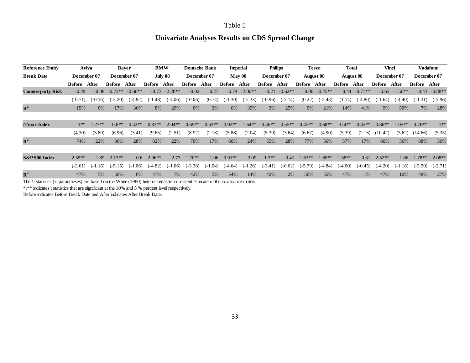### **Univariate Analyses Results on CDS Spread Change**

| <b>Reference Entity</b>  |                 | Aviva       |               | <b>Bayer</b>           |                 | <b>BMW</b> |                  | <b>Deutsche Bank</b> | <b>Imperial</b> |           |           | <b>Philips</b> |                  | <b>Tesco</b> | Total     |           | Vinci         |           | Vodafone                    |           |
|--------------------------|-----------------|-------------|---------------|------------------------|-----------------|------------|------------------|----------------------|-----------------|-----------|-----------|----------------|------------------|--------------|-----------|-----------|---------------|-----------|-----------------------------|-----------|
| <b>Break Date</b>        |                 | December 07 | December 07   |                        | July 08         |            | December 07      |                      | May 08          |           |           | December 07    | <b>August 08</b> |              | August 08 |           | December 07   |           | December 07                 |           |
|                          | After<br>Before |             | <b>Before</b> | After<br><b>Before</b> |                 | After      | <b>Before</b>    | After                | Before          | After     | Before    | After          | <b>Before</b>    | After        | Before    | After     | <b>Before</b> | After     | Before                      | After     |
| <b>Counterparty Risk</b> | $-0.29$         | $-0.08$     | $-0.73**$     | $-0.60**$              | $-0.73$         | $-2.28**$  | $-0.02$          | 0.27                 | $-0.74$         | $-2.00**$ | $-0.21$   | $-0.62**$      | 0.06             | $-0.45**$    | 0.44      | $-0.71**$ | $-0.63$       | $-1.56**$ | $-0.43$                     | $-0.88**$ |
|                          | $(-0.71)$       | $(-0.16)$   | $(-2.20)$     | $(-4.82)$              | $(-1.48)$       | $(-4.06)$  | $(-0.06)$        | (0.74)               | $(-1.30)$       | $(-2.33)$ | $(-0.96)$ | $(-3.14)$      | (0.22)           | $(-2.43)$    | (1.14)    | $(-4.80)$ | $(-1.64)$     | $(-4.40)$ | $(-1.31)$                   | $(-2.96)$ |
| ${\bf R}^2$              | 15%             | 0%          | 17%           | 36%                    | 8%              | 29%        | 0%               | 2%                   | 6%              | 35%       | 3%        | 25%            | 0%               | 21%          | 14%       | 41%       | 9%            | 50%       | 7%                          | 28%       |
|                          |                 |             |               |                        |                 |            |                  |                      |                 |           |           |                |                  |              |           |           |               |           |                             |           |
| iTraxx Index             | $1**$           | $1.27**$    | $0.8**$       | $0.42**$               | $0.83**$        | $2.04**$   | $0.69**$         | $0.63**$             | $0.92**$        | $1.64**$  | $0.46**$  | $0.55**$       | $0.45**$         | $0.68**$     | $0.4**$   | $0.45**$  | $0.86**$      | $1.05**$  | $0.76**$                    | $1**$     |
|                          | (4.30)          | (3.80)      | (6.96)        | (3.41)                 | (9.65)          | (2.51)     | (8.92)           | (2.18)               | (5.88)          | (2.04)    | (5.39)    | (3.64)         | (6.67)           | (4.90)       | (5.39)    | (2.16)    | (10.42)       | (3.62)    | (14.66)                     | (5.35)    |
| ${\bf R}^2$              | 74%             | 22%         | 80%           | 28%                    | 82%             | 22%        | 70%              | 17%                  | 66%             | 24%       | 55%       | 28%            | 77%              | 56%          | 57%       | 17%       | 66%           | 36%       | 88%                         | 56%       |
|                          |                 |             |               |                        |                 |            |                  |                      |                 |           |           |                |                  |              |           |           |               |           |                             |           |
| <b>S&amp;P 500 Index</b> | $-2.55**$       | $-1.89$     | $-2.13**$     |                        | $-0.6 - 2.96**$ |            | $-2.73 - 1.70**$ | $-1.06$              | $-3.91**$       | $-3.09$   | $-1.3**$  | $-0.41$        | $-1.63**$        | $-1.65**$    | $-1.58**$ | $-0.31$   | $-2.32**$     |           | $-1.66$ $-1.78**$ $-2.08**$ |           |
|                          | $(-2.61)$       | .16)        | $(-5.15)$     | 1.06)                  | $(-4.82)$       | $(-1.06)$  | $(-3.38)$        | $-1.04$              | $(-4.64)$       | $(-1.26)$ | $(-3.41)$ | $(-0.62)$      | $(-5.79)$        | $(-4.84)$    | $(-4.00)$ | $(-0.45)$ | $(-4.20)$     | $(-1.16)$ | $(-3.50)$                   | $(-2.71)$ |
| ${\bf R}^2$              | 47%             | 5%          | 56%           | 6%                     | 47%             | 7%         | 42%              | 5%                   | 54%             | 14%       | 42%       | 2%             | 56%              | 55%          | 47%       | 1%        | 47%           | 10%       | 48%                         | 27%       |

The *t* -statistics (in parantheses) are based on the White (1980) heteroskedastic-consistent estimate of the covariance matrix.

\*,\*\* indicates t statistics that are significant at the 10% and 5 % percent level respectively.

Before indicates Before Break Date and After indicates After Break Date.